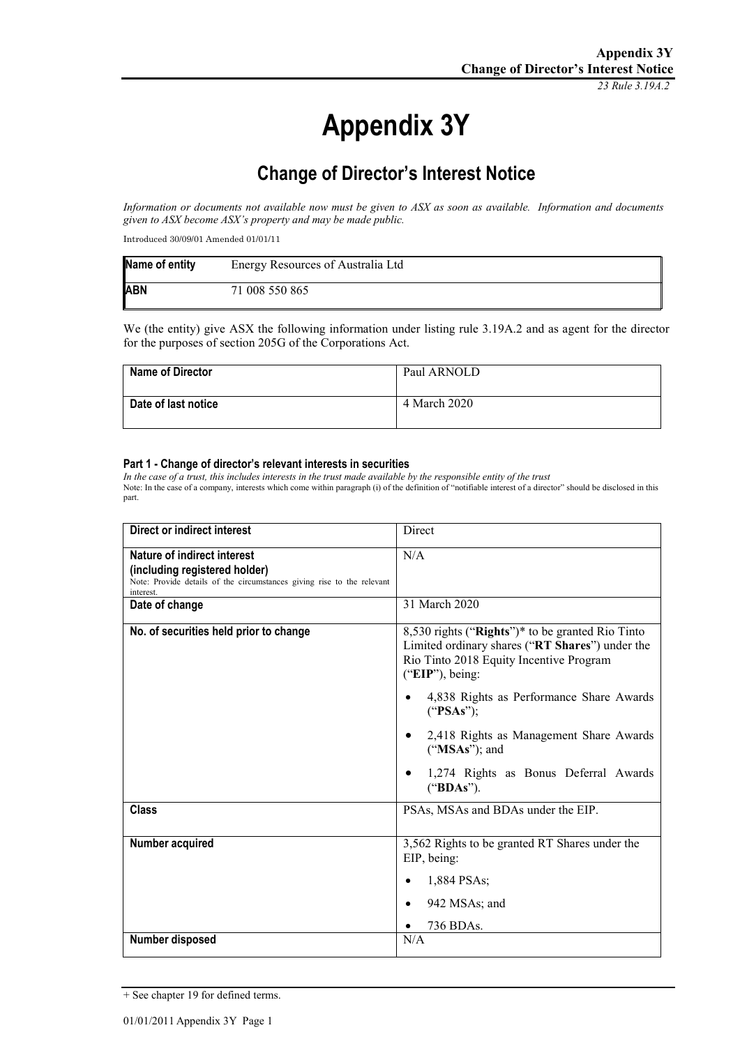*23 Rule 3.19A.2*

# **Appendix 3Y**

# **Change of Director's Interest Notice**

*Information or documents not available now must be given to ASX as soon as available. Information and documents given to ASX become ASX's property and may be made public.*

Introduced 30/09/01 Amended 01/01/11

| Name of entity | Energy Resources of Australia Ltd |
|----------------|-----------------------------------|
| <b>ABN</b>     | 71 008 550 865                    |

We (the entity) give ASX the following information under listing rule 3.19A.2 and as agent for the director for the purposes of section 205G of the Corporations Act.

| <b>Name of Director</b> | Paul ARNOLD  |
|-------------------------|--------------|
| Date of last notice     | 4 March 2020 |

#### **Part 1 - Change of director's relevant interests in securities**

*In the case of a trust, this includes interests in the trust made available by the responsible entity of the trust* Note: In the case of a company, interests which come within paragraph (i) of the definition of "notifiable interest of a director" should be disclosed in this part.

| <b>Direct or indirect interest</b>                                                                                                                  | Direct                                                                                                                                                            |
|-----------------------------------------------------------------------------------------------------------------------------------------------------|-------------------------------------------------------------------------------------------------------------------------------------------------------------------|
| Nature of indirect interest<br>(including registered holder)<br>Note: Provide details of the circumstances giving rise to the relevant<br>interest. | N/A                                                                                                                                                               |
| Date of change                                                                                                                                      | 31 March 2020                                                                                                                                                     |
| No. of securities held prior to change                                                                                                              | 8,530 rights ("Rights")* to be granted Rio Tinto<br>Limited ordinary shares ("RT Shares") under the<br>Rio Tinto 2018 Equity Incentive Program<br>("EIP"), being: |
|                                                                                                                                                     | 4,838 Rights as Performance Share Awards<br>("PSAs");                                                                                                             |
|                                                                                                                                                     | 2,418 Rights as Management Share Awards<br>("MSAs"); and                                                                                                          |
|                                                                                                                                                     | 1,274 Rights as Bonus Deferral Awards<br>("BDAs").                                                                                                                |
| <b>Class</b>                                                                                                                                        | PSAs, MSAs and BDAs under the EIP.                                                                                                                                |
| Number acquired                                                                                                                                     | 3,562 Rights to be granted RT Shares under the<br>EIP, being:                                                                                                     |
|                                                                                                                                                     | 1,884 PSAs;                                                                                                                                                       |
|                                                                                                                                                     | 942 MSAs; and<br>$\bullet$                                                                                                                                        |
|                                                                                                                                                     | 736 BDAs.                                                                                                                                                         |
| Number disposed                                                                                                                                     | N/A                                                                                                                                                               |

<sup>+</sup> See chapter 19 for defined terms.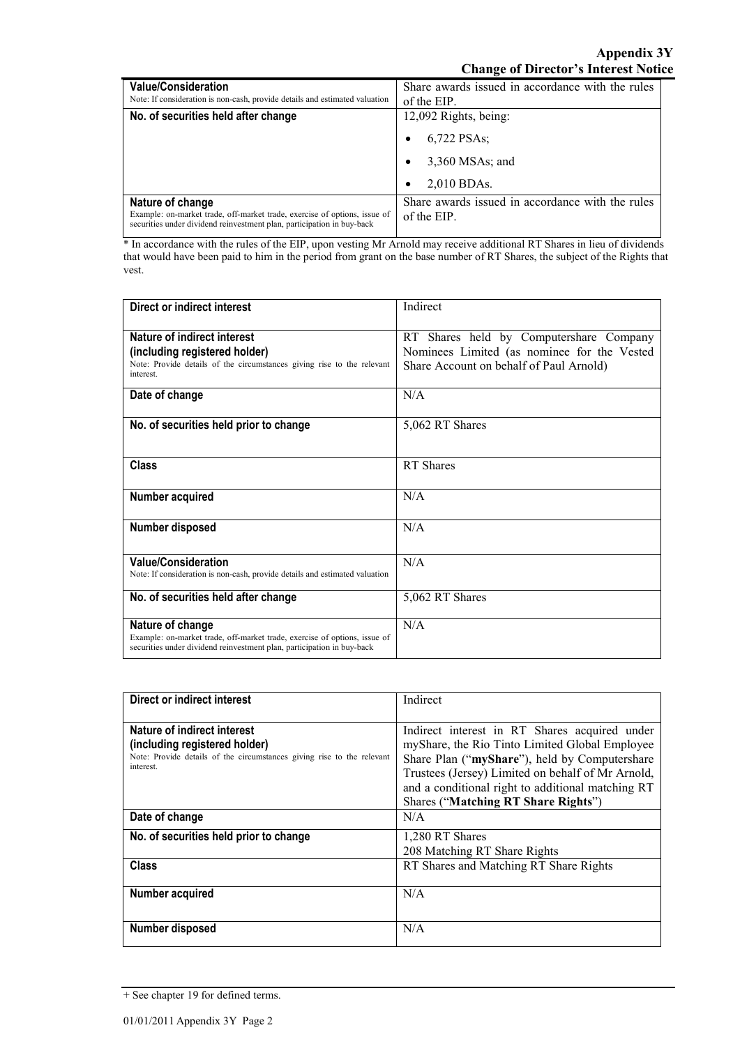| <b>Value/Consideration</b><br>Note: If consideration is non-cash, provide details and estimated valuation                                                               | Share awards issued in accordance with the rules<br>of the EIP. |
|-------------------------------------------------------------------------------------------------------------------------------------------------------------------------|-----------------------------------------------------------------|
| No. of securities held after change                                                                                                                                     | 12,092 Rights, being:                                           |
|                                                                                                                                                                         | 6,722 PSAs:                                                     |
|                                                                                                                                                                         | $3,360$ MSAs; and                                               |
|                                                                                                                                                                         | 2,010 BDAs.<br>٠                                                |
| Nature of change<br>Example: on-market trade, off-market trade, exercise of options, issue of<br>securities under dividend reinvestment plan, participation in buy-back | Share awards issued in accordance with the rules<br>of the EIP. |

\* In accordance with the rules of the EIP, upon vesting Mr Arnold may receive additional RT Shares in lieu of dividends that would have been paid to him in the period from grant on the base number of RT Shares, the subject of the Rights that vest.

| Direct or indirect interest                                                                                                                                             | Indirect                                                                                                                          |
|-------------------------------------------------------------------------------------------------------------------------------------------------------------------------|-----------------------------------------------------------------------------------------------------------------------------------|
| Nature of indirect interest<br>(including registered holder)<br>Note: Provide details of the circumstances giving rise to the relevant<br>interest.                     | RT Shares held by Computershare Company<br>Nominees Limited (as nominee for the Vested<br>Share Account on behalf of Paul Arnold) |
| Date of change                                                                                                                                                          | N/A                                                                                                                               |
| No. of securities held prior to change                                                                                                                                  | 5,062 RT Shares                                                                                                                   |
| <b>Class</b>                                                                                                                                                            | RT Shares                                                                                                                         |
| Number acquired                                                                                                                                                         | N/A                                                                                                                               |
| Number disposed                                                                                                                                                         | N/A                                                                                                                               |
| <b>Value/Consideration</b><br>Note: If consideration is non-cash, provide details and estimated valuation                                                               | N/A                                                                                                                               |
| No. of securities held after change                                                                                                                                     | 5,062 RT Shares                                                                                                                   |
| Nature of change<br>Example: on-market trade, off-market trade, exercise of options, issue of<br>securities under dividend reinvestment plan, participation in buy-back | N/A                                                                                                                               |

| Direct or indirect interest                                            | Indirect                                          |
|------------------------------------------------------------------------|---------------------------------------------------|
|                                                                        |                                                   |
|                                                                        |                                                   |
| Nature of indirect interest                                            | Indirect interest in RT Shares acquired under     |
| (including registered holder)                                          | myShare, the Rio Tinto Limited Global Employee    |
| Note: Provide details of the circumstances giving rise to the relevant | Share Plan ("myShare"), held by Computershare     |
| interest.                                                              | Trustees (Jersey) Limited on behalf of Mr Arnold, |
|                                                                        | and a conditional right to additional matching RT |
|                                                                        | <b>Shares ("Matching RT Share Rights")</b>        |
| Date of change                                                         | N/A                                               |
| No. of securities held prior to change                                 | 1,280 RT Shares                                   |
|                                                                        | 208 Matching RT Share Rights                      |
| <b>Class</b>                                                           | RT Shares and Matching RT Share Rights            |
|                                                                        |                                                   |
| Number acquired                                                        | N/A                                               |
|                                                                        |                                                   |
| Number disposed                                                        | N/A                                               |
|                                                                        |                                                   |

<sup>+</sup> See chapter 19 for defined terms.